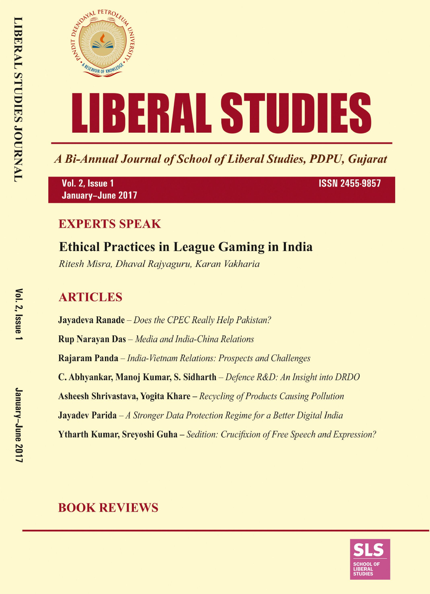

A Bi-Annual Journal of School of Liberal Studies, PDPU, Gujarat

Vol. 2, Issue 1 January-June 2017 **ISSN 2455-9857** 

### **EXPERTS SPEAK**

## **Ethical Practices in League Gaming in India**

Ritesh Misra, Dhaval Rajyaguru, Karan Vakharia

### **ARTICLES**

**Jayadeva Ranade** – Does the CPEC Really Help Pakistan? **Rup Narayan Das** - Media and India-China Relations Rajaram Panda – India-Vietnam Relations: Prospects and Challenges C. Abhyankar, Manoj Kumar, S. Sidharth – Defence R&D: An Insight into DRDO **Asheesh Shrivastava, Yogita Khare** – Recycling of Products Causing Pollution **Jayadev Parida**  $-A$  Stronger Data Protection Regime for a Better Digital India **Ytharth Kumar, Srevoshi Guha** – Sedition: Crucifixion of Free Speech and Expression?

### **BOOK REVIEWS**

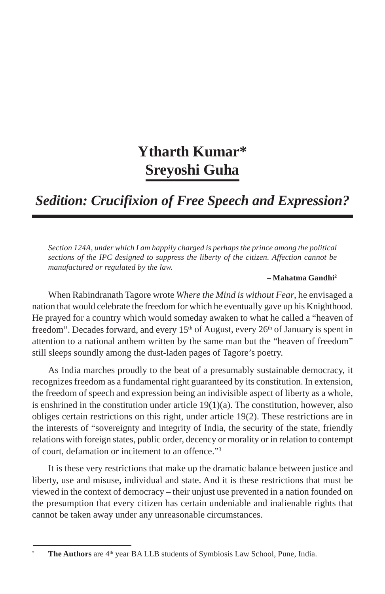# **Ytharth Kumar\* Sreyoshi Guha**

*Sedition: Crucifixion of Free Speech and Expression?*

*Section 124A, under which I am happily charged is perhaps the prince among the political sections of the IPC designed to suppress the liberty of the citizen. Affection cannot be manufactured or regulated by the law.*

#### *–* **Mahatma Gandhi2**

When Rabindranath Tagore wrote *Where the Mind is without Fear*, he envisaged a nation that would celebrate the freedom for which he eventually gave up his Knighthood. He prayed for a country which would someday awaken to what he called a "heaven of freedom". Decades forward, and every  $15<sup>th</sup>$  of August, every  $26<sup>th</sup>$  of January is spent in attention to a national anthem written by the same man but the "heaven of freedom" still sleeps soundly among the dust-laden pages of Tagore's poetry.

As India marches proudly to the beat of a presumably sustainable democracy, it recognizes freedom as a fundamental right guaranteed by its constitution. In extension, the freedom of speech and expression being an indivisible aspect of liberty as a whole, is enshrined in the constitution under article  $19(1)(a)$ . The constitution, however, also obliges certain restrictions on this right, under article 19(2). These restrictions are in the interests of "sovereignty and integrity of India, the security of the state, friendly relations with foreign states, public order, decency or morality or in relation to contempt of court, defamation or incitement to an offence."3

It is these very restrictions that make up the dramatic balance between justice and liberty, use and misuse, individual and state. And it is these restrictions that must be viewed in the context of democracy – their unjust use prevented in a nation founded on the presumption that every citizen has certain undeniable and inalienable rights that cannot be taken away under any unreasonable circumstances.

The Authors are 4<sup>th</sup> year BA LLB students of Symbiosis Law School, Pune, India.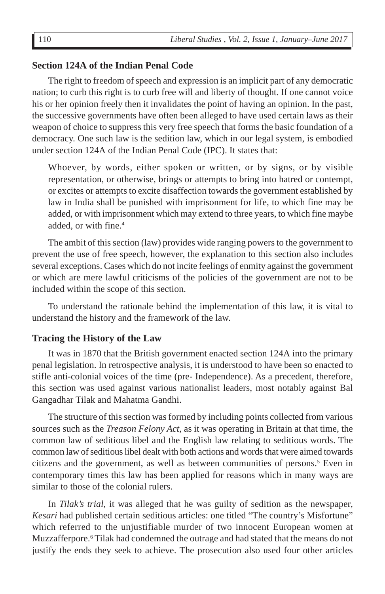#### **Section 124A of the Indian Penal Code**

The right to freedom of speech and expression is an implicit part of any democratic nation; to curb this right is to curb free will and liberty of thought. If one cannot voice his or her opinion freely then it invalidates the point of having an opinion. In the past, the successive governments have often been alleged to have used certain laws as their weapon of choice to suppress this very free speech that forms the basic foundation of a democracy. One such law is the sedition law, which in our legal system, is embodied under section 124A of the Indian Penal Code (IPC). It states that:

Whoever, by words, either spoken or written, or by signs, or by visible representation, or otherwise, brings or attempts to bring into hatred or contempt, or excites or attempts to excite disaffection towards the government established by law in India shall be punished with imprisonment for life, to which fine may be added, or with imprisonment which may extend to three years, to which fine maybe added, or with fine.4

The ambit of this section (law) provides wide ranging powers to the government to prevent the use of free speech, however, the explanation to this section also includes several exceptions. Cases which do not incite feelings of enmity against the government or which are mere lawful criticisms of the policies of the government are not to be included within the scope of this section.

To understand the rationale behind the implementation of this law, it is vital to understand the history and the framework of the law.

#### **Tracing the History of the Law**

It was in 1870 that the British government enacted section 124A into the primary penal legislation. In retrospective analysis, it is understood to have been so enacted to stifle anti-colonial voices of the time (pre- Independence). As a precedent, therefore, this section was used against various nationalist leaders, most notably against Bal Gangadhar Tilak and Mahatma Gandhi.

The structure of this section was formed by including points collected from various sources such as the *Treason Felony Act*, as it was operating in Britain at that time, the common law of seditious libel and the English law relating to seditious words. The common law of seditious libel dealt with both actions and words that were aimed towards citizens and the government, as well as between communities of persons.<sup>5</sup> Even in contemporary times this law has been applied for reasons which in many ways are similar to those of the colonial rulers.

In *Tilak's trial*, it was alleged that he was guilty of sedition as the newspaper, *Kesari* had published certain seditious articles: one titled "The country's Misfortune" which referred to the unjustifiable murder of two innocent European women at Muzzafferpore.<sup>6</sup> Tilak had condemned the outrage and had stated that the means do not justify the ends they seek to achieve. The prosecution also used four other articles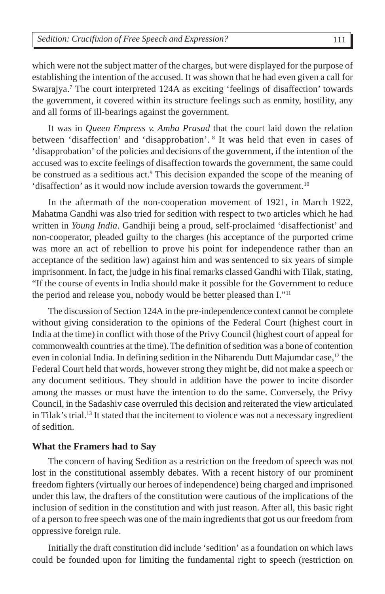which were not the subject matter of the charges, but were displayed for the purpose of establishing the intention of the accused. It was shown that he had even given a call for Swarajya.<sup>7</sup> The court interpreted 124A as exciting 'feelings of disaffection' towards the government, it covered within its structure feelings such as enmity, hostility, any and all forms of ill-bearings against the government.

It was in *Queen Empress v. Amba Prasad* that the court laid down the relation between 'disaffection' and 'disapprobation'. 8 It was held that even in cases of 'disapprobation' of the policies and decisions of the government, if the intention of the accused was to excite feelings of disaffection towards the government, the same could be construed as a seditious act.<sup>9</sup> This decision expanded the scope of the meaning of 'disaffection' as it would now include aversion towards the government.<sup>10</sup>

In the aftermath of the non-cooperation movement of 1921, in March 1922, Mahatma Gandhi was also tried for sedition with respect to two articles which he had written in *Young India*. Gandhiji being a proud, self-proclaimed 'disaffectionist' and non-cooperator, pleaded guilty to the charges (his acceptance of the purported crime was more an act of rebellion to prove his point for independence rather than an acceptance of the sedition law) against him and was sentenced to six years of simple imprisonment. In fact, the judge in his final remarks classed Gandhi with Tilak, stating, "If the course of events in India should make it possible for the Government to reduce the period and release you, nobody would be better pleased than I."11

The discussion of Section 124A in the pre-independence context cannot be complete without giving consideration to the opinions of the Federal Court (highest court in India at the time) in conflict with those of the Privy Council (highest court of appeal for commonwealth countries at the time). The definition of sedition was a bone of contention even in colonial India. In defining sedition in the Niharendu Dutt Majumdar case,  $^{12}$  the Federal Court held that words, however strong they might be, did not make a speech or any document seditious. They should in addition have the power to incite disorder among the masses or must have the intention to do the same. Conversely, the Privy Council, in the Sadashiv case overruled this decision and reiterated the view articulated in Tilak's trial.13 It stated that the incitement to violence was not a necessary ingredient of sedition.

#### **What the Framers had to Say**

The concern of having Sedition as a restriction on the freedom of speech was not lost in the constitutional assembly debates. With a recent history of our prominent freedom fighters (virtually our heroes of independence) being charged and imprisoned under this law, the drafters of the constitution were cautious of the implications of the inclusion of sedition in the constitution and with just reason. After all, this basic right of a person to free speech was one of the main ingredients that got us our freedom from oppressive foreign rule.

Initially the draft constitution did include 'sedition' as a foundation on which laws could be founded upon for limiting the fundamental right to speech (restriction on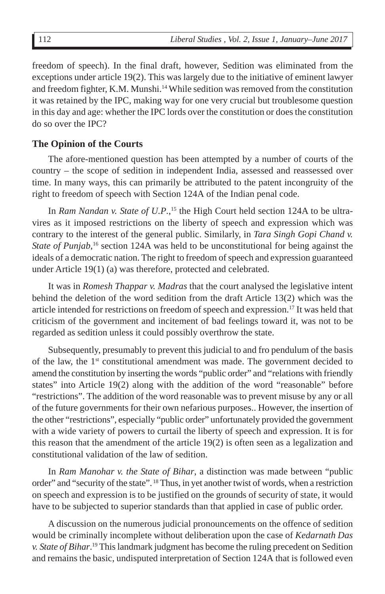freedom of speech). In the final draft, however, Sedition was eliminated from the exceptions under article 19(2). This was largely due to the initiative of eminent lawyer and freedom fighter, K.M. Munshi.14 While sedition was removed from the constitution it was retained by the IPC, making way for one very crucial but troublesome question in this day and age: whether the IPC lords over the constitution or does the constitution do so over the IPC?

#### **The Opinion of the Courts**

The afore-mentioned question has been attempted by a number of courts of the country – the scope of sedition in independent India, assessed and reassessed over time. In many ways, this can primarily be attributed to the patent incongruity of the right to freedom of speech with Section 124A of the Indian penal code.

In *Ram Nandan v. State of U.P.*,<sup>15</sup> the High Court held section 124A to be ultravires as it imposed restrictions on the liberty of speech and expression which was contrary to the interest of the general public. Similarly, in *Tara Singh Gopi Chand v.* State of Punjab,<sup>16</sup> section 124A was held to be unconstitutional for being against the ideals of a democratic nation. The right to freedom of speech and expression guaranteed under Article 19(1) (a) was therefore, protected and celebrated.

It was in *Romesh Thappar v. Madras* that the court analysed the legislative intent behind the deletion of the word sedition from the draft Article 13(2) which was the article intended for restrictions on freedom of speech and expression.17 It was held that criticism of the government and incitement of bad feelings toward it, was not to be regarded as sedition unless it could possibly overthrow the state.

Subsequently, presumably to prevent this judicial to and fro pendulum of the basis of the law, the  $1<sup>st</sup>$  constitutional amendment was made. The government decided to amend the constitution by inserting the words "public order" and "relations with friendly states" into Article 19(2) along with the addition of the word "reasonable" before "restrictions". The addition of the word reasonable was to prevent misuse by any or all of the future governments for their own nefarious purposes.. However, the insertion of the other "restrictions", especially "public order" unfortunately provided the government with a wide variety of powers to curtail the liberty of speech and expression. It is for this reason that the amendment of the article 19(2) is often seen as a legalization and constitutional validation of the law of sedition.

In *Ram Manohar v. the State of Bihar*, a distinction was made between "public order" and "security of the state". 18 Thus, in yet another twist of words, when a restriction on speech and expression is to be justified on the grounds of security of state, it would have to be subjected to superior standards than that applied in case of public order.

A discussion on the numerous judicial pronouncements on the offence of sedition would be criminally incomplete without deliberation upon the case of *Kedarnath Das v. State of Bihar*. 19 This landmark judgment has become the ruling precedent on Sedition and remains the basic, undisputed interpretation of Section 124A that is followed even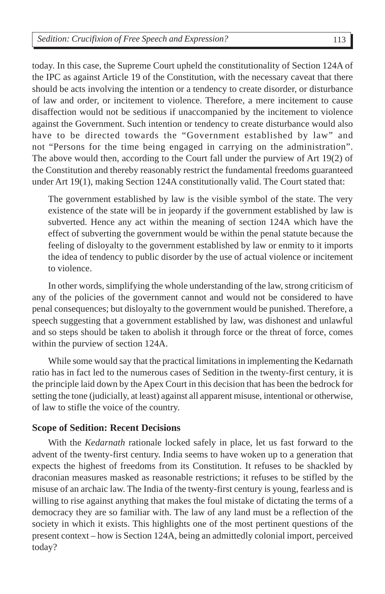today. In this case, the Supreme Court upheld the constitutionality of Section 124A of the IPC as against Article 19 of the Constitution, with the necessary caveat that there should be acts involving the intention or a tendency to create disorder, or disturbance of law and order, or incitement to violence. Therefore, a mere incitement to cause disaffection would not be seditious if unaccompanied by the incitement to violence against the Government. Such intention or tendency to create disturbance would also have to be directed towards the "Government established by law" and not "Persons for the time being engaged in carrying on the administration". The above would then, according to the Court fall under the purview of Art 19(2) of the Constitution and thereby reasonably restrict the fundamental freedoms guaranteed under Art 19(1), making Section 124A constitutionally valid. The Court stated that:

The government established by law is the visible symbol of the state. The very existence of the state will be in jeopardy if the government established by law is subverted. Hence any act within the meaning of section 124A which have the effect of subverting the government would be within the penal statute because the feeling of disloyalty to the government established by law or enmity to it imports the idea of tendency to public disorder by the use of actual violence or incitement to violence.

In other words, simplifying the whole understanding of the law, strong criticism of any of the policies of the government cannot and would not be considered to have penal consequences; but disloyalty to the government would be punished. Therefore, a speech suggesting that a government established by law, was dishonest and unlawful and so steps should be taken to abolish it through force or the threat of force, comes within the purview of section 124A.

While some would say that the practical limitations in implementing the Kedarnath ratio has in fact led to the numerous cases of Sedition in the twenty-first century, it is the principle laid down by the Apex Court in this decision that has been the bedrock for setting the tone (judicially, at least) against all apparent misuse, intentional or otherwise, of law to stifle the voice of the country.

#### **Scope of Sedition: Recent Decisions**

With the *Kedarnath* rationale locked safely in place, let us fast forward to the advent of the twenty-first century. India seems to have woken up to a generation that expects the highest of freedoms from its Constitution. It refuses to be shackled by draconian measures masked as reasonable restrictions; it refuses to be stifled by the misuse of an archaic law. The India of the twenty-first century is young, fearless and is willing to rise against anything that makes the foul mistake of dictating the terms of a democracy they are so familiar with. The law of any land must be a reflection of the society in which it exists. This highlights one of the most pertinent questions of the present context – how is Section 124A, being an admittedly colonial import, perceived today?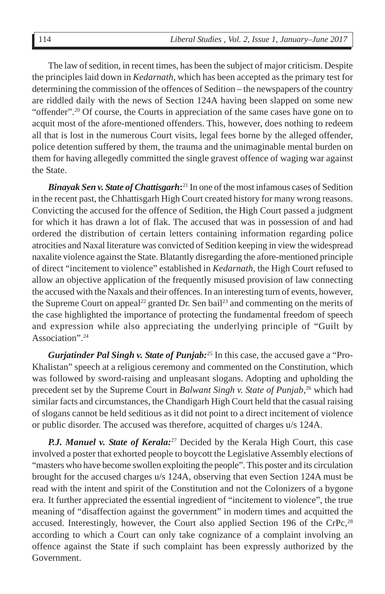The law of sedition, in recent times, has been the subject of major criticism. Despite the principles laid down in *Kedarnath*, which has been accepted as the primary test for determining the commission of the offences of Sedition – the newspapers of the country are riddled daily with the news of Section 124A having been slapped on some new "offender".20 Of course, the Courts in appreciation of the same cases have gone on to acquit most of the afore-mentioned offenders. This, however, does nothing to redeem all that is lost in the numerous Court visits, legal fees borne by the alleged offender, police detention suffered by them, the trauma and the unimaginable mental burden on them for having allegedly committed the single gravest offence of waging war against the State.

*Binayak Sen v. State of Chattisgarh***:**<sup>21</sup> In one of the most infamous cases of Sedition in the recent past, the Chhattisgarh High Court created history for many wrong reasons. Convicting the accused for the offence of Sedition, the High Court passed a judgment for which it has drawn a lot of flak. The accused that was in possession of and had ordered the distribution of certain letters containing information regarding police atrocities and Naxal literature was convicted of Sedition keeping in view the widespread naxalite violence against the State. Blatantly disregarding the afore-mentioned principle of direct "incitement to violence" established in *Kedarnath*, the High Court refused to allow an objective application of the frequently misused provision of law connecting the accused with the Naxals and their offences. In an interesting turn of events, however, the Supreme Court on appeal<sup>22</sup> granted Dr. Sen bail<sup>23</sup> and commenting on the merits of the case highlighted the importance of protecting the fundamental freedom of speech and expression while also appreciating the underlying principle of "Guilt by Association".24

*Gurjatinder Pal Singh v. State of Punjab:*<sup>25</sup> In this case, the accused gave a "Pro-Khalistan" speech at a religious ceremony and commented on the Constitution, which was followed by sword-raising and unpleasant slogans. Adopting and upholding the precedent set by the Supreme Court in *Balwant Singh v. State of Punjab*, 26 which had similar facts and circumstances, the Chandigarh High Court held that the casual raising of slogans cannot be held seditious as it did not point to a direct incitement of violence or public disorder. The accused was therefore, acquitted of charges u/s 124A.

*P.J. Manuel v. State of Kerala:*<sup>27</sup> Decided by the Kerala High Court, this case involved a poster that exhorted people to boycott the Legislative Assembly elections of "masters who have become swollen exploiting the people". This poster and its circulation brought for the accused charges u/s 124A, observing that even Section 124A must be read with the intent and spirit of the Constitution and not the Colonizers of a bygone era. It further appreciated the essential ingredient of "incitement to violence", the true meaning of "disaffection against the government" in modern times and acquitted the accused. Interestingly, however, the Court also applied Section 196 of the CrPc, $^{28}$ according to which a Court can only take cognizance of a complaint involving an offence against the State if such complaint has been expressly authorized by the Government.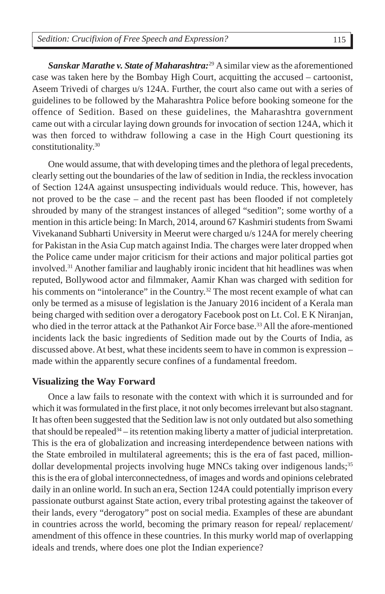*Sanskar Marathe v. State of Maharashtra:*<sup>29</sup> A similar view as the aforementioned case was taken here by the Bombay High Court, acquitting the accused – cartoonist, Aseem Trivedi of charges u/s 124A. Further, the court also came out with a series of guidelines to be followed by the Maharashtra Police before booking someone for the offence of Sedition. Based on these guidelines, the Maharashtra government came out with a circular laying down grounds for invocation of section 124A, which it was then forced to withdraw following a case in the High Court questioning its constitutionality.30

One would assume, that with developing times and the plethora of legal precedents, clearly setting out the boundaries of the law of sedition in India, the reckless invocation of Section 124A against unsuspecting individuals would reduce. This, however, has not proved to be the case – and the recent past has been flooded if not completely shrouded by many of the strangest instances of alleged "sedition"; some worthy of a mention in this article being: In March, 2014, around 67 Kashmiri students from Swami Vivekanand Subharti University in Meerut were charged u/s 124A for merely cheering for Pakistan in the Asia Cup match against India. The charges were later dropped when the Police came under major criticism for their actions and major political parties got involved.31 Another familiar and laughably ironic incident that hit headlines was when reputed, Bollywood actor and filmmaker, Aamir Khan was charged with sedition for his comments on "intolerance" in the Country.<sup>32</sup> The most recent example of what can only be termed as a misuse of legislation is the January 2016 incident of a Kerala man being charged with sedition over a derogatory Facebook post on Lt. Col. E K Niranjan, who died in the terror attack at the Pathankot Air Force base.<sup>33</sup> All the afore-mentioned incidents lack the basic ingredients of Sedition made out by the Courts of India, as discussed above. At best, what these incidents seem to have in common is expression – made within the apparently secure confines of a fundamental freedom.

#### **Visualizing the Way Forward**

Once a law fails to resonate with the context with which it is surrounded and for which it was formulated in the first place, it not only becomes irrelevant but also stagnant. It has often been suggested that the Sedition law is not only outdated but also something that should be repealed<sup>34</sup> – its retention making liberty a matter of judicial interpretation. This is the era of globalization and increasing interdependence between nations with the State embroiled in multilateral agreements; this is the era of fast paced, milliondollar developmental projects involving huge MNCs taking over indigenous lands;<sup>35</sup> this is the era of global interconnectedness, of images and words and opinions celebrated daily in an online world. In such an era, Section 124A could potentially imprison every passionate outburst against State action, every tribal protesting against the takeover of their lands, every "derogatory" post on social media. Examples of these are abundant in countries across the world, becoming the primary reason for repeal/ replacement/ amendment of this offence in these countries. In this murky world map of overlapping ideals and trends, where does one plot the Indian experience?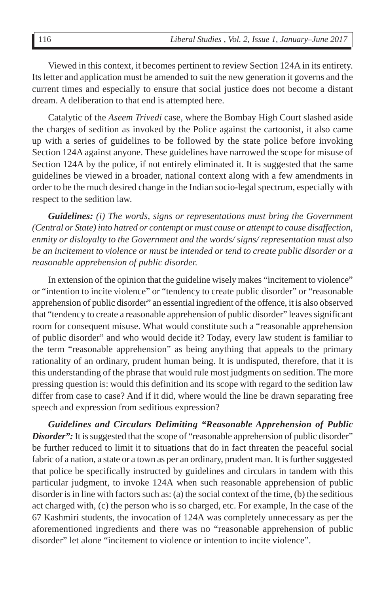Viewed in this context, it becomes pertinent to review Section 124A in its entirety. Its letter and application must be amended to suit the new generation it governs and the current times and especially to ensure that social justice does not become a distant dream. A deliberation to that end is attempted here.

Catalytic of the *Aseem Trivedi* case, where the Bombay High Court slashed aside the charges of sedition as invoked by the Police against the cartoonist, it also came up with a series of guidelines to be followed by the state police before invoking Section 124A against anyone. These guidelines have narrowed the scope for misuse of Section 124A by the police, if not entirely eliminated it. It is suggested that the same guidelines be viewed in a broader, national context along with a few amendments in order to be the much desired change in the Indian socio-legal spectrum, especially with respect to the sedition law.

*Guidelines: (i) The words, signs or representations must bring the Government (Central or State) into hatred or contempt or must cause or attempt to cause disaffection, enmity or disloyalty to the Government and the words/ signs/ representation must also be an incitement to violence or must be intended or tend to create public disorder or a reasonable apprehension of public disorder.*

In extension of the opinion that the guideline wisely makes "incitement to violence" or "intention to incite violence" or "tendency to create public disorder" or "reasonable apprehension of public disorder" an essential ingredient of the offence, it is also observed that "tendency to create a reasonable apprehension of public disorder" leaves significant room for consequent misuse. What would constitute such a "reasonable apprehension of public disorder" and who would decide it? Today, every law student is familiar to the term "reasonable apprehension" as being anything that appeals to the primary rationality of an ordinary, prudent human being. It is undisputed, therefore, that it is this understanding of the phrase that would rule most judgments on sedition. The more pressing question is: would this definition and its scope with regard to the sedition law differ from case to case? And if it did, where would the line be drawn separating free speech and expression from seditious expression?

*Guidelines and Circulars Delimiting "Reasonable Apprehension of Public Disorder*": It is suggested that the scope of "reasonable apprehension of public disorder" be further reduced to limit it to situations that do in fact threaten the peaceful social fabric of a nation, a state or a town as per an ordinary, prudent man. It is further suggested that police be specifically instructed by guidelines and circulars in tandem with this particular judgment, to invoke 124A when such reasonable apprehension of public disorder is in line with factors such as: (a) the social context of the time, (b) the seditious act charged with, (c) the person who is so charged, etc. For example, In the case of the 67 Kashmiri students, the invocation of 124A was completely unnecessary as per the aforementioned ingredients and there was no "reasonable apprehension of public disorder" let alone "incitement to violence or intention to incite violence".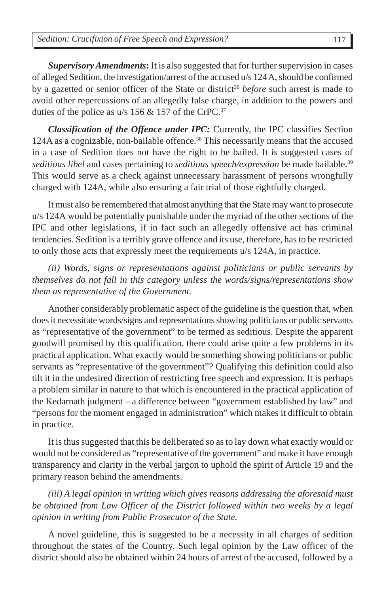*Supervisory Amendments***:** It is also suggested that for further supervision in cases of alleged Sedition, the investigation/arrest of the accused u/s 124 A, should be confirmed by a gazetted or senior officer of the State or district<sup>36</sup> *before* such arrest is made to avoid other repercussions of an allegedly false charge, in addition to the powers and duties of the police as  $u/s$  156 & 157 of the CrPC.<sup>37</sup>

*Classification of the Offence under IPC:* Currently, the IPC classifies Section 124A as a cognizable, non-bailable offence.38 This necessarily means that the accused in a case of Sedition does not have the right to be bailed. It is suggested cases of *seditious libel* and cases pertaining to *seditious speech/expression* be made bailable.39 This would serve as a check against unnecessary harassment of persons wrongfully charged with 124A, while also ensuring a fair trial of those rightfully charged.

It must also be remembered that almost anything that the State may want to prosecute u/s 124A would be potentially punishable under the myriad of the other sections of the IPC and other legislations, if in fact such an allegedly offensive act has criminal tendencies. Sedition is a terribly grave offence and its use, therefore, has to be restricted to only those acts that expressly meet the requirements u/s 124A, in practice.

*(ii) Words, signs or representations against politicians or public servants by themselves do not fall in this category unless the words/signs/representations show them as representative of the Government.*

Another considerably problematic aspect of the guideline is the question that, when does it necessitate words/signs and representations showing politicians or public servants as "representative of the government" to be termed as seditious. Despite the apparent goodwill promised by this qualification, there could arise quite a few problems in its practical application. What exactly would be something showing politicians or public servants as "representative of the government"? Qualifying this definition could also tilt it in the undesired direction of restricting free speech and expression. It is perhaps a problem similar in nature to that which is encountered in the practical application of the Kedarnath judgment – a difference between "government established by law" and "persons for the moment engaged in administration" which makes it difficult to obtain in practice.

It is thus suggested that this be deliberated so as to lay down what exactly would or would not be considered as "representative of the government" and make it have enough transparency and clarity in the verbal jargon to uphold the spirit of Article 19 and the primary reason behind the amendments.

*(iii) A legal opinion in writing which gives reasons addressing the aforesaid must be obtained from Law Officer of the District followed within two weeks by a legal opinion in writing from Public Prosecutor of the State.*

A novel guideline, this is suggested to be a necessity in all charges of sedition throughout the states of the Country. Such legal opinion by the Law officer of the district should also be obtained within 24 hours of arrest of the accused, followed by a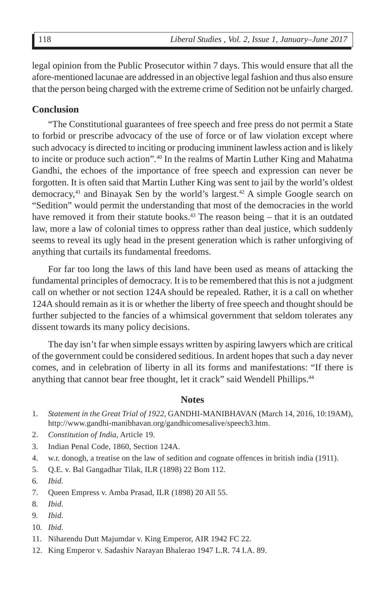legal opinion from the Public Prosecutor within 7 days. This would ensure that all the afore-mentioned lacunae are addressed in an objective legal fashion and thus also ensure that the person being charged with the extreme crime of Sedition not be unfairly charged.

#### **Conclusion**

"The Constitutional guarantees of free speech and free press do not permit a State to forbid or prescribe advocacy of the use of force or of law violation except where such advocacy is directed to inciting or producing imminent lawless action and is likely to incite or produce such action"*.* <sup>40</sup> In the realms of Martin Luther King and Mahatma Gandhi, the echoes of the importance of free speech and expression can never be forgotten. It is often said that Martin Luther King was sent to jail by the world's oldest democracy, $41$  and Binayak Sen by the world's largest. $42$  A simple Google search on "Sedition" would permit the understanding that most of the democracies in the world have removed it from their statute books.<sup>43</sup> The reason being  $-$  that it is an outdated law, more a law of colonial times to oppress rather than deal justice, which suddenly seems to reveal its ugly head in the present generation which is rather unforgiving of anything that curtails its fundamental freedoms.

For far too long the laws of this land have been used as means of attacking the fundamental principles of democracy. It is to be remembered that this is not a judgment call on whether or not section 124A should be repealed. Rather, it is a call on whether 124A should remain as it is or whether the liberty of free speech and thought should be further subjected to the fancies of a whimsical government that seldom tolerates any dissent towards its many policy decisions.

The day isn't far when simple essays written by aspiring lawyers which are critical of the government could be considered seditious. In ardent hopes that such a day never comes, and in celebration of liberty in all its forms and manifestations: "If there is anything that cannot bear free thought, let it crack" said Wendell Phillips.<sup>44</sup>

#### **Notes**

- 1*. Statement in the Great Trial of 1922*, GANDHI-MANIBHAVAN (March 14, 2016, 10:19AM), http://www.gandhi-manibhavan.org/gandhicomesalive/speech3.htm.
- 2. *Constitution of India*, Article 19.
- 3. Indian Penal Code, 1860, Section 124A.
- 4. w.r. donogh, a treatise on the law of sedition and cognate offences in british india (1911).
- 5. Q.E. v. Bal Gangadhar Tilak, ILR (1898) 22 Bom 112.
- 6*. Ibid.*
- 7. Queen Empress v. Amba Prasad, ILR (1898) 20 All 55.
- 8*. Ibid.*
- 9*. Ibid.*
- 10*. Ibid.*
- 11. Niharendu Dutt Majumdar v. King Emperor, AIR 1942 FC 22.
- 12. King Emperor v. Sadashiv Narayan Bhalerao 1947 L.R. 74 I.A. 89.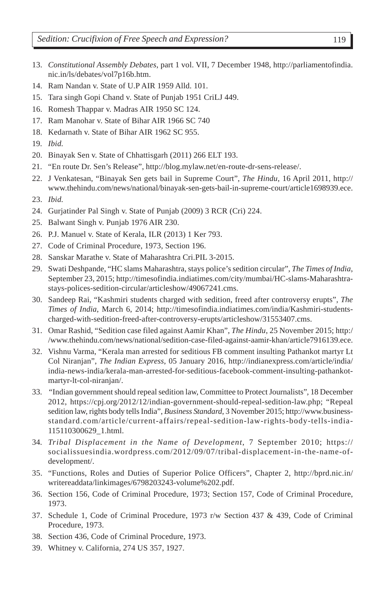- 13. *Constitutional Assembly Debates*, part 1 vol. VII, 7 December 1948, http://parliamentofindia. nic.in/ls/debates/vol7p16b.htm.
- 14. Ram Nandan v. State of U.P AIR 1959 Alld. 101.
- 15. Tara singh Gopi Chand v. State of Punjab 1951 CriLJ 449.
- 16. Romesh Thappar v. Madras AIR 1950 SC 124.
- 17. Ram Manohar v. State of Bihar AIR 1966 SC 740
- 18. Kedarnath v. State of Bihar AIR 1962 SC 955.
- 19*. Ibid.*
- 20. Binayak Sen v. State of Chhattisgarh (2011) 266 ELT 193.
- 21*.* "En route Dr. Sen's Release", http://blog.mylaw.net/en-route-dr-sens-release/.
- 22. J Venkatesan, "Binayak Sen gets bail in Supreme Court", *The Hindu*, 16 April 2011, http:// www.thehindu.com/news/national/binayak-sen-gets-bail-in-supreme-court/article1698939.ece.
- 23. *Ibid.*
- 24. Gurjatinder Pal Singh v. State of Punjab (2009) 3 RCR (Cri) 224.
- 25. Balwant Singh v. Punjab 1976 AIR 230.
- 26. P.J. Manuel v. State of Kerala, ILR (2013) 1 Ker 793.
- 27. Code of Criminal Procedure, 1973, Section 196.
- 28. Sanskar Marathe v. State of Maharashtra Cri.PIL 3-2015.
- 29. Swati Deshpande, "HC slams Maharashtra, stays police's sedition circular"*, The Times of India*, September 23, 2015; http://timesofindia.indiatimes.com/city/mumbai/HC-slams-Maharashtrastays-polices-sedition-circular/articleshow/49067241.cms.
- 30. Sandeep Rai, "Kashmiri students charged with sedition, freed after controversy erupts"*, The Times of India*, March 6, 2014; http://timesofindia.indiatimes.com/india/Kashmiri-studentscharged-with-sedition-freed-after-controversy-erupts/articleshow/31553407.cms.
- 31. Omar Rashid, "Sedition case filed against Aamir Khan", *The Hindu*, 25 November 2015; http:/ /www.thehindu.com/news/national/sedition-case-filed-against-aamir-khan/article7916139.ece.
- 32. Vishnu Varma, "Kerala man arrested for seditious FB comment insulting Pathankot martyr Lt Col Niranjan", *The Indian Express*, 05 January 2016, http://indianexpress.com/article/india/ india-news-india/kerala-man-arrested-for-seditious-facebook-comment-insulting-pathankotmartyr-lt-col-niranjan/.
- 33*. "*Indian government should repeal sedition law, Committee to Protect Journalists"*,* 18 December 2012, https://cpj.org/2012/12/indian-government-should-repeal-sedition-law.php; "Repeal sedition law, rights body tells India", *Business Standard*, 3 November 2015; http://www.businessstandard.com/article/current-affairs/repeal-sedition-law-rights-body-tells-india-115110300629\_1.html.
- 34*. Tribal Displacement in the Name of Development*, 7 September 2010; https:// socialissuesindia.wordpress.com/2012/09/07/tribal-displacement-in-the-name-ofdevelopment/.
- 35. "Functions, Roles and Duties of Superior Police Officers", Chapter 2, http://bprd.nic.in/ writereaddata/linkimages/6798203243-volume%202.pdf.
- 36. Section 156, Code of Criminal Procedure, 1973; Section 157, Code of Criminal Procedure, 1973.
- 37. Schedule 1, Code of Criminal Procedure, 1973 r/w Section 437 & 439, Code of Criminal Procedure, 1973.
- 38. Section 436, Code of Criminal Procedure, 1973.
- 39. Whitney v. California, 274 US 357, 1927.